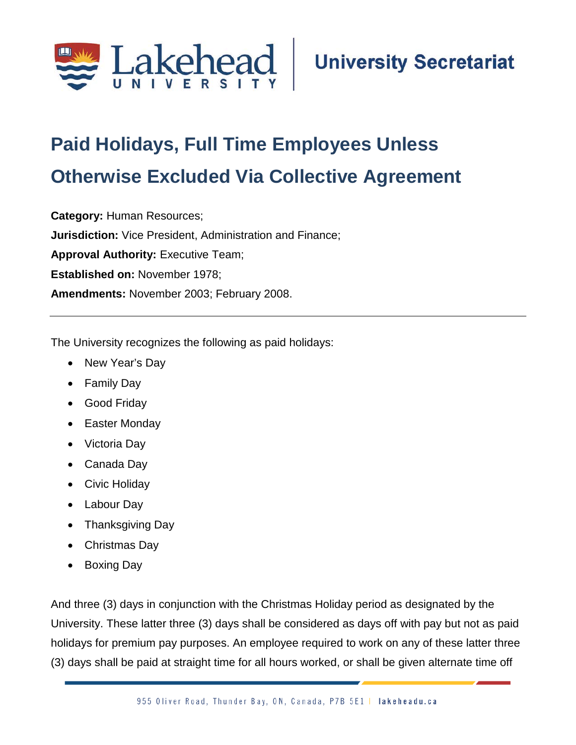

## **Paid Holidays, Full Time Employees Unless Otherwise Excluded Via Collective Agreement;**

**Category:** Human Resources; **Jurisdiction:** Vice President, Administration and Finance; **Approval Authority:** Executive Team; **Established on:** November 1978; **Amendments:** November 2003; February 2008.

The University recognizes the following as paid holidays:

- New Year's Day
- Family Day
- Good Friday
- Easter Monday
- Victoria Day
- Canada Day
- Civic Holiday
- Labour Day
- Thanksgiving Day
- Christmas Day
- Boxing Day

And three (3) days in conjunction with the Christmas Holiday period as designated by the University. These latter three (3) days shall be considered as days off with pay but not as paid holidays for premium pay purposes. An employee required to work on any of these latter three (3) days shall be paid at straight time for all hours worked, or shall be given alternate time off